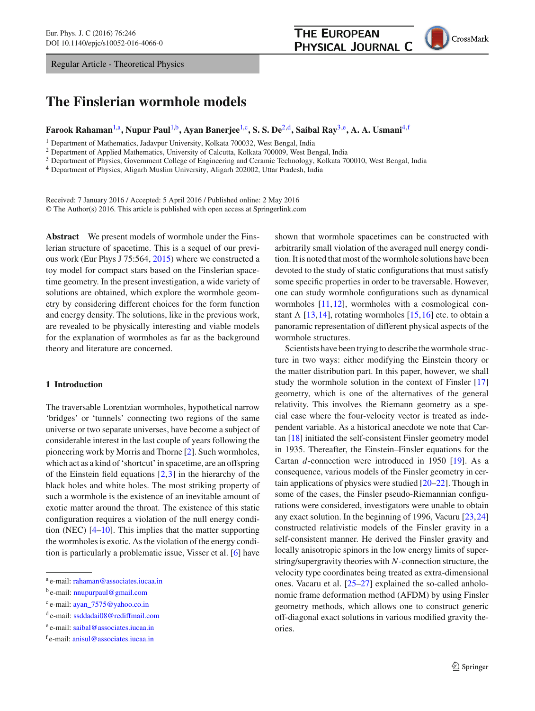Regular Article - Theoretical Physics

# **The Finslerian wormhole models**

# **Farook Rahaman**[1,](#page-0-0)a**, Nupur Paul**[1,](#page-0-0)b**, Ayan Banerjee**[1,](#page-0-0)c**, S. S. De**[2,](#page-0-0)d**, Saibal Ray**[3,](#page-0-1)e**, A. A. Usmani**[4,](#page-0-2)f

<sup>1</sup> Department of Mathematics, Jadavpur University, Kolkata 700032, West Bengal, India

<sup>2</sup> Department of Applied Mathematics, University of Calcutta, Kolkata 700009, West Bengal, India

<sup>3</sup> Department of Physics, Government College of Engineering and Ceramic Technology, Kolkata 700010, West Bengal, India

<sup>4</sup> Department of Physics, Aligarh Muslim University, Aligarh 202002, Uttar Pradesh, India

Received: 7 January 2016 / Accepted: 5 April 2016 / Published online: 2 May 2016 © The Author(s) 2016. This article is published with open access at Springerlink.com

**Abstract** We present models of wormhole under the Finslerian structure of spacetime. This is a sequel of our previous work (Eur Phys J 75:564, [2015\)](#page-8-0) where we constructed a toy model for compact stars based on the Finslerian spacetime geometry. In the present investigation, a wide variety of solutions are obtained, which explore the wormhole geometry by considering different choices for the form function and energy density. The solutions, like in the previous work, are revealed to be physically interesting and viable models for the explanation of wormholes as far as the background theory and literature are concerned.

### **1 Introduction**

The traversable Lorentzian wormholes, hypothetical narrow 'bridges' or 'tunnels' connecting two regions of the same universe or two separate universes, have become a subject of considerable interest in the last couple of years following the pioneering work by Morris and Thorne [\[2](#page-8-1)]. Such wormholes, which act as a kind of 'shortcut' in spacetime, are an offspring of the Einstein field equations  $[2,3]$  $[2,3]$  $[2,3]$  in the hierarchy of the black holes and white holes. The most striking property of such a wormhole is the existence of an inevitable amount of exotic matter around the throat. The existence of this static configuration requires a violation of the null energy condition (NEC) [\[4](#page-8-3)[–10\]](#page-8-4). This implies that the matter supporting the wormholes is exotic. As the violation of the energy condition is particularly a problematic issue, Visser et al. [\[6\]](#page-8-5) have <span id="page-0-2"></span><span id="page-0-1"></span>shown that wormhole spacetimes can be constructed with arbitrarily small violation of the averaged null energy condition. It is noted that most of the wormhole solutions have been devoted to the study of static configurations that must satisfy some specific properties in order to be traversable. However, one can study wormhole configurations such as dynamical wormholes [\[11,](#page-8-6)[12\]](#page-8-7), wormholes with a cosmological constant  $\Lambda$  [\[13](#page-8-8),[14](#page-8-9)], rotating wormholes [\[15](#page-8-10),[16\]](#page-8-11) etc. to obtain a panoramic representation of different physical aspects of the wormhole structures.

**THE EUROPEAN** 

<span id="page-0-0"></span>PHYSICAL JOURNAL C

Scientists have been trying to describe the wormhole structure in two ways: either modifying the Einstein theory or the matter distribution part. In this paper, however, we shall study the wormhole solution in the context of Finsler [\[17\]](#page-8-12) geometry, which is one of the alternatives of the general relativity. This involves the Riemann geometry as a special case where the four-velocity vector is treated as independent variable. As a historical anecdote we note that Cartan [\[18](#page-8-13)] initiated the self-consistent Finsler geometry model in 1935. Thereafter, the Einstein–Finsler equations for the Cartan *d*-connection were introduced in 1950 [\[19](#page-8-14)]. As a consequence, various models of the Finsler geometry in certain applications of physics were studied [\[20](#page-8-15)[–22\]](#page-8-16). Though in some of the cases, the Finsler pseudo-Riemannian configurations were considered, investigators were unable to obtain any exact solution. In the beginning of 1996, Vacuru [\[23,](#page-8-17)[24\]](#page-8-18) constructed relativistic models of the Finsler gravity in a self-consistent manner. He derived the Finsler gravity and locally anisotropic spinors in the low energy limits of superstring/supergravity theories with *N*-connection structure, the velocity type coordinates being treated as extra-dimensional ones. Vacaru et al. [\[25](#page-8-19)[–27\]](#page-8-20) explained the so-called anholonomic frame deformation method (AFDM) by using Finsler geometry methods, which allows one to construct generic off-diagonal exact solutions in various modified gravity theories.

<sup>a</sup> e-mail: [rahaman@associates.iucaa.in](mailto:rahaman@associates.iucaa.in)

b e-mail: [nnupurpaul@gmail.com](mailto:nnupurpaul@gmail.com)

<sup>c</sup> e-mail: [ayan\\_7575@yahoo.co.in](mailto:ayan\protect _7575@yahoo.co.in)

<sup>d</sup> e-mail: [ssddadai08@rediffmail.com](mailto:ssddadai08@rediffmail.com)

<sup>e</sup> e-mail: [saibal@associates.iucaa.in](mailto:saibal@associates.iucaa.in)

<sup>f</sup> e-mail: [anisul@associates.iucaa.in](mailto:anisul@associates.iucaa.in)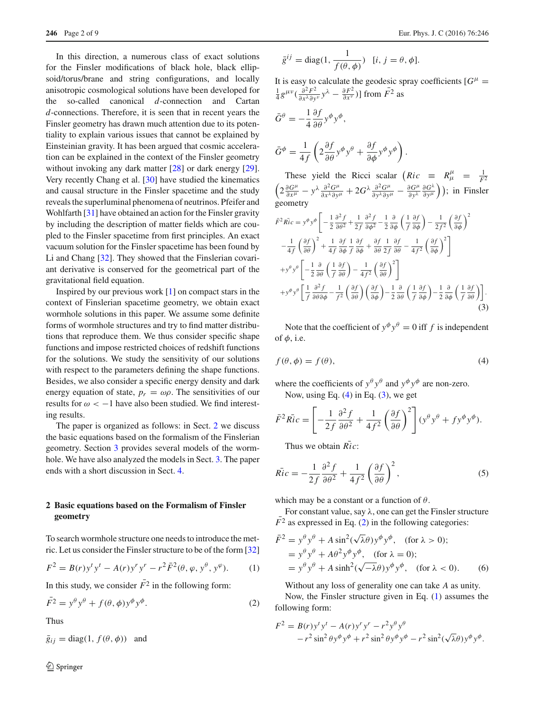In this direction, a numerous class of exact solutions for the Finsler modifications of black hole, black ellipsoid/torus/brane and string configurations, and locally anisotropic cosmological solutions have been developed for the so-called canonical *d*-connection and Cartan *d*-connections. Therefore, it is seen that in recent years the Finsler geometry has drawn much attention due to its potentiality to explain various issues that cannot be explained by Einsteinian gravity. It has been argued that cosmic acceleration can be explained in the context of the Finsler geometry without invoking any dark matter [\[28\]](#page-8-21) or dark energy [\[29](#page-8-22)]. Very recently Chang et al. [\[30](#page-8-23)] have studied the kinematics and causal structure in the Finsler spacetime and the study reveals the superluminal phenomena of neutrinos. Pfeifer and Wohlfarth [\[31](#page-8-24)] have obtained an action for the Finsler gravity by including the description of matter fields which are coupled to the Finsler spacetime from first principles. An exact vacuum solution for the Finsler spacetime has been found by Li and Chang [\[32\]](#page-8-25). They showed that the Finslerian covariant derivative is conserved for the geometrical part of the gravitational field equation.

Inspired by our previous work  $[1]$  $[1]$  on compact stars in the context of Finslerian spacetime geometry, we obtain exact wormhole solutions in this paper. We assume some definite forms of wormhole structures and try to find matter distributions that reproduce them. We thus consider specific shape functions and impose restricted choices of redshift functions for the solutions. We study the sensitivity of our solutions with respect to the parameters defining the shape functions. Besides, we also consider a specific energy density and dark energy equation of state,  $p_r = \omega \rho$ . The sensitivities of our results for  $\omega < -1$  have also been studied. We find interesting results.

The paper is organized as follows: in Sect. [2](#page-1-0) we discuss the basic equations based on the formalism of the Finslerian geometry. Section [3](#page-3-0) provides several models of the wormhole. We have also analyzed the models in Sect. [3.](#page-3-0) The paper ends with a short discussion in Sect. [4.](#page-5-0)

# <span id="page-1-0"></span>**2 Basic equations based on the Formalism of Finsler geometry**

To search wormhole structure one needs to introduce the metric. Let us consider the Finsler structure to be of the form [\[32\]](#page-8-25)

<span id="page-1-4"></span>
$$
F^{2} = B(r)y^{t}y^{t} - A(r)y^{r}y^{r} - r^{2}\bar{F}^{2}(\theta, \varphi, y^{\theta}, y^{\varphi}).
$$
 (1)

In this study, we consider  $\overline{F}^2$  in the following form:

<span id="page-1-3"></span>
$$
\bar{F}^2 = y^\theta y^\theta + f(\theta, \phi) y^\phi y^\phi. \tag{2}
$$

Thus

 $\bar{g}_{ij}$  = diag(1,  $f(\theta, \phi)$ ) and

$$
\bar{g}^{ij} = \text{diag}(1, \frac{1}{f(\theta, \phi)}) \quad [i, j = \theta, \phi].
$$

It is easy to calculate the geodesic spray coefficients  $[G^{\mu}$  =  $\frac{1}{4}g^{\mu\nu}(\frac{\partial^2 F^2}{\partial x^{\lambda}\partial y^{\nu}}y^{\lambda} - \frac{\partial F^2}{\partial x^{\nu}})$ ] from  $\bar{F^2}$  as

$$
\bar{G}^{\theta} = -\frac{1}{4} \frac{\partial f}{\partial \theta} y^{\phi} y^{\phi},
$$
  

$$
\bar{G}^{\phi} = \frac{1}{4f} \left( 2 \frac{\partial f}{\partial \theta} y^{\phi} y^{\theta} + \frac{\partial f}{\partial \phi} y^{\phi} y^{\phi} \right).
$$

These yield the Ricci scalar  $\left(Ric \equiv R^{\mu}_{\mu} = \frac{1}{F^2} \left(2 \frac{\partial G^{\mu}}{\partial x^{\mu}} - y^{\lambda} \frac{\partial^2 G^{\mu}}{\partial x^{\lambda} \partial y^{\mu}} + 2G^{\lambda} \frac{\partial^2 G^{\mu}}{\partial y^{\lambda} \partial y^{\mu}} - \frac{\partial G^{\mu}}{\partial y^{\lambda}} \frac{\partial G^{\lambda}}{\partial y^{\mu}}\right)\right);$  in Finsle:  $\frac{\partial G^{\lambda}}{\partial y^{\mu}}$ ); in Finsler geometry

<span id="page-1-2"></span>
$$
\bar{F}^2 \bar{Ric} = y^{\phi} y^{\phi} \left[ -\frac{1}{2} \frac{\partial^2 f}{\partial \theta^2} + \frac{1}{2f} \frac{\partial^2 f}{\partial \phi^2} - \frac{1}{2} \frac{\partial}{\partial \phi} \left( \frac{1}{f} \frac{\partial f}{\partial \phi} \right) - \frac{1}{2f^2} \left( \frac{\partial f}{\partial \phi} \right)^2 \right] \n- \frac{1}{4f} \left( \frac{\partial f}{\partial \theta} \right)^2 + \frac{1}{4f} \frac{\partial f}{\partial \phi} \frac{1}{f} \frac{\partial f}{\partial \phi} + \frac{\partial f}{\partial \theta} \frac{1}{2f} \frac{\partial f}{\partial \theta} - \frac{1}{4f^2} \left( \frac{\partial f}{\partial \phi} \right)^2 \right] \n+ y^{\theta} y^{\theta} \left[ -\frac{1}{2} \frac{\partial}{\partial \theta} \left( \frac{1}{f} \frac{\partial f}{\partial \theta} \right) - \frac{1}{4f^2} \left( \frac{\partial f}{\partial \theta} \right)^2 \right] \n+ y^{\phi} y^{\theta} \left[ \frac{1}{f} \frac{\partial^2 f}{\partial \theta \partial \phi} - \frac{1}{f^2} \left( \frac{\partial f}{\partial \theta} \right) \left( \frac{\partial f}{\partial \phi} \right) - \frac{1}{2} \frac{\partial}{\partial \theta} \left( \frac{1}{f} \frac{\partial f}{\partial \phi} \right) - \frac{1}{2} \frac{\partial}{\partial \phi} \left( \frac{1}{f} \frac{\partial f}{\partial \phi} \right) \right].
$$
\n(3)

<span id="page-1-1"></span>Note that the coefficient of  $y^{\phi} y^{\theta} = 0$  iff *f* is independent of  $\phi$ , i.e.

$$
f(\theta, \phi) = f(\theta),\tag{4}
$$

where the coefficients of  $y^{\theta} y^{\theta}$  and  $y^{\phi} y^{\phi}$  are non-zero. Now, using Eq.  $(4)$  in Eq.  $(3)$ , we get

$$
\bar{F}^2 \bar{Ric} = \left[ -\frac{1}{2f} \frac{\partial^2 f}{\partial \theta^2} + \frac{1}{4f^2} \left( \frac{\partial f}{\partial \theta} \right)^2 \right] (y^\theta y^\theta + f y^\phi y^\phi).
$$

Thus we obtain  $Ric$ :

$$
\overline{Ric} = -\frac{1}{2f} \frac{\partial^2 f}{\partial \theta^2} + \frac{1}{4f^2} \left(\frac{\partial f}{\partial \theta}\right)^2, \tag{5}
$$

which may be a constant or a function of  $\theta$ .

For constant value, say  $\lambda$ , one can get the Finsler structure  $\overline{F}^2$  as expressed in Eq. [\(2\)](#page-1-3) in the following categories:

$$
\begin{aligned} \bar{F}^2 &= y^\theta y^\theta + A \sin^2(\sqrt{\lambda}\theta) y^\phi y^\phi, \quad \text{(for } \lambda > 0);\\ &= y^\theta y^\theta + A\theta^2 y^\phi y^\phi, \quad \text{(for } \lambda = 0);\\ &= y^\theta y^\theta + A \sinh^2(\sqrt{-\lambda}\theta) y^\phi y^\phi, \quad \text{(for } \lambda < 0). \end{aligned} \tag{6}
$$

Without any loss of generality one can take *A* as unity.

Now, the Finsler structure given in Eq. [\(1\)](#page-1-4) assumes the following form:

$$
F^2 = B(r)y^t y^t - A(r)y^r y^r - r^2 y^\theta y^\theta
$$
  
-r<sup>2</sup> sin<sup>2</sup>  $\theta y^\phi y^\phi + r^2 \sin^2 \theta y^\phi y^\phi - r^2 \sin^2(\sqrt{\lambda}\theta)y^\phi y^\phi$ .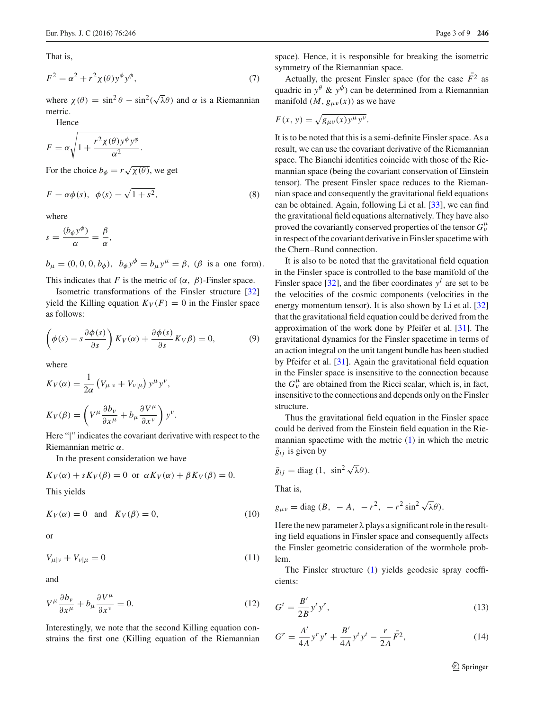That is,

$$
F^2 = \alpha^2 + r^2 \chi(\theta) y^{\phi} y^{\phi}, \tag{7}
$$

where  $\chi(\theta) = \sin^2 \theta - \sin^2(\sqrt{\lambda}\theta)$  and  $\alpha$  is a Riemannian metric.

Hence

$$
F = \alpha \sqrt{1 + \frac{r^2 \chi(\theta) y^{\phi} y^{\phi}}{\alpha^2}}.
$$

For the choice  $b_{\phi} = r \sqrt{\chi(\theta)}$ , we get

$$
F = \alpha \phi(s), \quad \phi(s) = \sqrt{1 + s^2}, \tag{8}
$$

where

$$
s = \frac{(b_{\phi}y^{\phi})}{\alpha} = \frac{\beta}{\alpha},
$$

 $b_{\mu} = (0, 0, 0, b_{\phi}), b_{\phi} y^{\phi} = b_{\mu} y^{\mu} = \beta, (\beta \text{ is a one form}).$ 

This indicates that *F* is the metric of  $(\alpha, \beta)$ -Finsler space.

Isometric transformations of the Finsler structure [\[32\]](#page-8-25) yield the Killing equation  $K_V(F) = 0$  in the Finsler space as follows:

$$
\left(\phi(s) - s \frac{\partial \phi(s)}{\partial s}\right) K_V(\alpha) + \frac{\partial \phi(s)}{\partial s} K_V(\beta) = 0, \tag{9}
$$

where

$$
K_V(\alpha) = \frac{1}{2\alpha} \left( V_{\mu|\nu} + V_{\nu|\mu} \right) y^{\mu} y^{\nu},
$$
  

$$
K_V(\beta) = \left( V^{\mu} \frac{\partial b_{\nu}}{\partial x^{\mu}} + b_{\mu} \frac{\partial V^{\mu}}{\partial x^{\nu}} \right) y^{\nu}.
$$

Here "|" indicates the covariant derivative with respect to the Riemannian metric α.

In the present consideration we have

$$
K_V(\alpha) + sK_V(\beta) = 0 \text{ or } \alpha K_V(\alpha) + \beta K_V(\beta) = 0.
$$

This yields

$$
K_V(\alpha) = 0 \quad \text{and} \quad K_V(\beta) = 0,\tag{10}
$$

or

$$
V_{\mu|\nu} + V_{\nu|\mu} = 0 \tag{11}
$$

and

$$
V^{\mu}\frac{\partial b_{\nu}}{\partial x^{\mu}} + b_{\mu}\frac{\partial V^{\mu}}{\partial x^{\nu}} = 0.
$$
 (12)

Interestingly, we note that the second Killing equation constrains the first one (Killing equation of the Riemannian space). Hence, it is responsible for breaking the isometric symmetry of the Riemannian space.

Actually, the present Finsler space (for the case  $\overline{F}^2$  as quadric in  $y^{\theta}$  &  $y^{\phi}$ ) can be determined from a Riemannian manifold  $(M, g_{\mu\nu}(x))$  as we have

$$
F(x, y) = \sqrt{g_{\mu\nu}(x)y^{\mu}y^{\nu}}.
$$

It is to be noted that this is a semi-definite Finsler space. As a result, we can use the covariant derivative of the Riemannian space. The Bianchi identities coincide with those of the Riemannian space (being the covariant conservation of Einstein tensor). The present Finsler space reduces to the Riemannian space and consequently the gravitational field equations can be obtained. Again, following Li et al. [\[33](#page-8-26)], we can find the gravitational field equations alternatively. They have also proved the covariantly conserved properties of the tensor *G*<sup>μ</sup><sup>ν</sup> in respect of the covariant derivative in Finsler spacetime with the Chern–Rund connection.

It is also to be noted that the gravitational field equation in the Finsler space is controlled to the base manifold of the Finsler space  $[32]$ , and the fiber coordinates  $y^i$  are set to be the velocities of the cosmic components (velocities in the energy momentum tensor). It is also shown by Li et al. [\[32\]](#page-8-25) that the gravitational field equation could be derived from the approximation of the work done by Pfeifer et al. [\[31\]](#page-8-24). The gravitational dynamics for the Finsler spacetime in terms of an action integral on the unit tangent bundle has been studied by Pfeifer et al. [\[31](#page-8-24)]. Again the gravitational field equation in the Finsler space is insensitive to the connection because the  $G_{\nu}^{\mu}$  are obtained from the Ricci scalar, which is, in fact, insensitive to the connections and depends only on the Finsler structure.

Thus the gravitational field equation in the Finsler space could be derived from the Einstein field equation in the Riemannian spacetime with the metric [\(1\)](#page-1-4) in which the metric  $\overline{g}_{ij}$  is given by

$$
\bar{g}_{ij} = \text{diag}(1, \ \sin^2 \sqrt{\lambda} \theta).
$$

That is,

$$
g_{\mu\nu} = \text{diag}(B, -A, -r^2, -r^2\sin^2\sqrt{\lambda}\theta).
$$

Here the new parameter  $\lambda$  plays a significant role in the resulting field equations in Finsler space and consequently affects the Finsler geometric consideration of the wormhole problem.

The Finsler structure [\(1\)](#page-1-4) yields geodesic spray coefficients:

$$
G^t = \frac{B'}{2B} y^t y^r,\tag{13}
$$

$$
G^{r} = \frac{A'}{4A} y^{r} y^{r} + \frac{B'}{4A} y^{t} y^{t} - \frac{r}{2A} \bar{F}^{2},
$$
 (14)

<sup>2</sup> Springer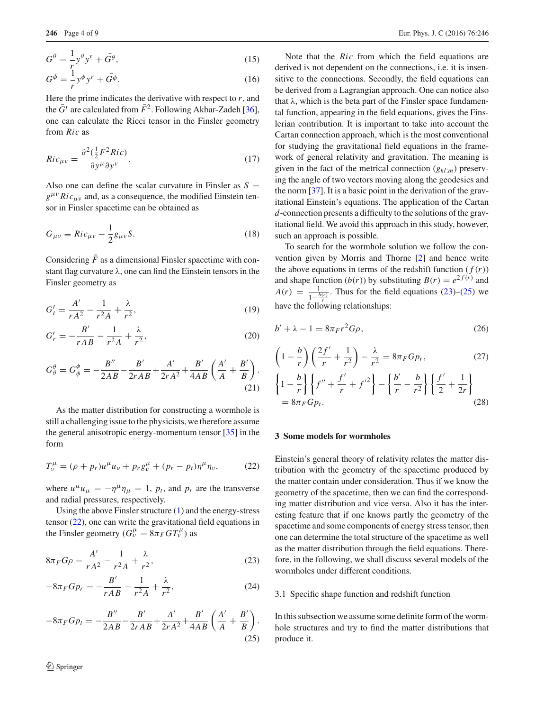$$
G^{\theta} = -\frac{1}{r} y^{\theta} y^r + \bar{G}^{\theta},\tag{15}
$$

$$
G^{\phi} = -\frac{1}{r} y^{\phi} y^r + \bar{G}^{\phi}.
$$
 (16)

Here the prime indicates the derivative with respect to  $r$ , and the  $\bar{G}^i$  are calculated from  $\bar{F}^2$ . Following Akbar-Zadeh [\[36](#page-8-27)], one can calculate the Ricci tensor in the Finsler geometry from *Ric* as

$$
Ric_{\mu\nu} = \frac{\partial^2(\frac{1}{2}F^2 Ric)}{\partial y^{\mu} \partial y^{\nu}}.
$$
 (17)

Also one can define the scalar curvature in Finsler as  $S =$  $g^{\mu\nu} Ric_{\mu\nu}$  and, as a consequence, the modified Einstein tensor in Finsler spacetime can be obtained as

$$
G_{\mu\nu} \equiv Ric_{\mu\nu} - \frac{1}{2}g_{\mu\nu}S. \tag{18}
$$

Considering  $\bar{F}$  as a dimensional Finsler spacetime with constant flag curvature  $\lambda$ , one can find the Einstein tensors in the Finsler geometry as

$$
G_t^t = \frac{A'}{rA^2} - \frac{1}{r^2A} + \frac{\lambda}{r^2},\tag{19}
$$

$$
G_r^r = -\frac{B'}{rAB} - \frac{1}{r^2A} + \frac{\lambda}{r^2},
$$
\n(20)

$$
G^{\theta}_{\theta} = G^{\phi}_{\phi} = -\frac{B''}{2AB} - \frac{B'}{2rAB} + \frac{A'}{2rA^2} + \frac{B'}{4AB} \left(\frac{A'}{A} + \frac{B'}{B}\right).
$$
\n(21)

As the matter distribution for constructing a wormhole is still a challenging issue to the physicists, we therefore assume the general anisotropic energy-momentum tensor [\[35](#page-8-28)] in the form

<span id="page-3-1"></span>
$$
T_{\nu}^{\mu} = (\rho + p_r)u^{\mu}u_{\nu} + p_r g_{\nu}^{\mu} + (p_r - p_t)\eta^{\mu}\eta_{\nu},
$$
 (22)

where  $u^{\mu}u_{\mu} = -\eta^{\mu}\eta_{\mu} = 1$ ,  $p_t$ , and  $p_r$  are the transverse and radial pressures, respectively.

Using the above Finsler structure [\(1\)](#page-1-4) and the energy-stress tensor [\(22\)](#page-3-1), one can write the gravitational field equations in the Finsler geometry  $(G^{\mu}_{\nu} = 8\pi_F G T^{\mu}_{\nu})$  as

$$
8\pi_F G \rho = \frac{A'}{r A^2} - \frac{1}{r^2 A} + \frac{\lambda}{r^2},\tag{23}
$$

$$
-8\pi_F G p_r = -\frac{B'}{rAB} - \frac{1}{r^2A} + \frac{\lambda}{r^2},
$$
 (24)

<span id="page-3-3"></span>
$$
-8\pi_F G p_t = -\frac{B''}{2AB} - \frac{B'}{2rAB} + \frac{A'}{2rA^2} + \frac{B'}{4AB} \left(\frac{A'}{A} + \frac{B'}{B}\right).
$$
\n(25)

Note that the *Ric* from which the field equations are derived is not dependent on the connections, i.e. it is insensitive to the connections. Secondly, the field equations can be derived from a Lagrangian approach. One can notice also that  $\lambda$ , which is the beta part of the Finsler space fundamental function, appearing in the field equations, gives the Finslerian contribution. It is important to take into account the Cartan connection approach, which is the most conventional for studying the gravitational field equations in the framework of general relativity and gravitation. The meaning is given in the fact of the metrical connection (*gkl*:*m*) preserving the angle of two vectors moving along the geodesics and the norm [\[37\]](#page-8-29). It is a basic point in the derivation of the gravitational Einstein's equations. The application of the Cartan *d*-connection presents a difficulty to the solutions of the gravitational field. We avoid this approach in this study, however, such an approach is possible.

To search for the wormhole solution we follow the convention given by Morris and Thorne [\[2\]](#page-8-1) and hence write the above equations in terms of the redshift function  $(f(r))$ and shape function  $(b(r))$  by substituting  $B(r) = e^{2f(r)}$  and  $A(r) = \frac{1}{1 - \frac{b(r)}{r}}$ . Thus for the field equations [\(23\)](#page-3-2)–[\(25\)](#page-3-3) we have the following relationships:

<span id="page-3-4"></span>
$$
b' + \lambda - 1 = 8\pi F r^2 G \rho,
$$
\n(26)

<span id="page-3-5"></span>
$$
\left(1 - \frac{b}{r}\right)\left(\frac{2f'}{r} + \frac{1}{r^2}\right) - \frac{\lambda}{r^2} = 8\pi_F G p_r,
$$
\n
$$
\left\{1 - \frac{b}{r}\right\} \left\{f'' + \frac{f'}{r} + f'^2\right\} - \left\{\frac{b'}{r} - \frac{b}{r^2}\right\} \left\{\frac{f'}{2} + \frac{1}{2r}\right\}
$$
\n
$$
= 8\pi_F G p_t.
$$
\n(28)

#### <span id="page-3-0"></span>**3 Some models for wormholes**

Einstein's general theory of relativity relates the matter distribution with the geometry of the spacetime produced by the matter contain under consideration. Thus if we know the geometry of the spacetime, then we can find the corresponding matter distribution and vice versa. Also it has the interesting feature that if one knows partly the geometry of the spacetime and some components of energy stress tensor, then one can determine the total structure of the spacetime as well as the matter distribution through the field equations. Therefore, in the following, we shall discuss several models of the wormholes under different conditions.

#### <span id="page-3-2"></span>3.1 Specific shape function and redshift function

In this subsection we assume some definite form of the wormhole structures and try to find the matter distributions that produce it.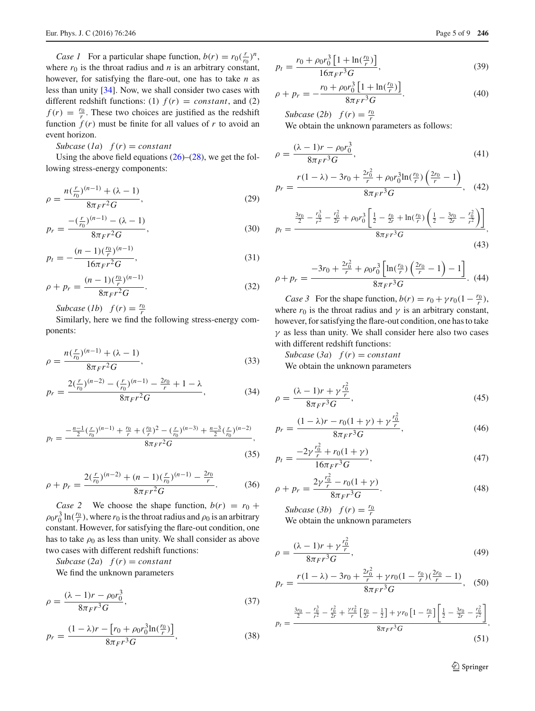*Case 1* For a particular shape function,  $b(r) = r_0(\frac{r}{r_0})^n$ , where  $r_0$  is the throat radius and  $n$  is an arbitrary constant, however, for satisfying the flare-out, one has to take *n* as less than unity [\[34](#page-8-30)]. Now, we shall consider two cases with different redshift functions: (1)  $f(r) = constant$ , and (2)  $f(r) = \frac{r_0}{r}$ . These two choices are justified as the redshift function  $f(r)$  must be finite for all values of  $r$  to avoid an event horizon.

*Subcase*  $(Ia)$   $f(r) = constant$ 

Using the above field equations  $(26)$ – $(28)$ , we get the following stress-energy components:

$$
\rho = \frac{n(\frac{r}{r_0})^{(n-1)} + (\lambda - 1)}{8\pi Fr^2 G},\tag{29}
$$

$$
p_r = \frac{-\left(\frac{r}{r_0}\right)^{(n-1)} - (\lambda - 1)}{8\pi Fr^2 G},\tag{30}
$$

$$
p_t = -\frac{(n-1)\binom{r_0}{r}\binom{n-1}{r}}{16\pi Fr^2G},\tag{31}
$$

$$
\rho + p_r = \frac{(n-1)\binom{r_0}{r}^{(n-1)}}{8\pi Fr^2G}.
$$
\n(32)

*Subcase* (*1b*)  $f(r) = \frac{r_0}{r}$ 

Similarly, here we find the following stress-energy components:

$$
\rho = \frac{n(\frac{r}{r_0})^{(n-1)} + (\lambda - 1)}{8\pi Fr^2 G},
$$
\n(33)

$$
p_r = \frac{2(\frac{r}{r_0})^{(n-2)} - (\frac{r}{r_0})^{(n-1)} - \frac{2r_0}{r} + 1 - \lambda}{8\pi Fr^2G},
$$
(34)

$$
p_t = \frac{-\frac{n-1}{2}(\frac{r}{r_0})^{(n-1)} + \frac{r_0}{r} + (\frac{r_0}{r})^2 - (\frac{r}{r_0})^{(n-3)} + \frac{n-3}{2}(\frac{r}{r_0})^{(n-2)}}{8\pi_F r^2 G},\tag{35}
$$

$$
\rho + p_r = \frac{2(\frac{r}{r_0})^{(n-2)} + (n-1)(\frac{r}{r_0})^{(n-1)} - \frac{2r_0}{r}}{8\pi r^2 G}.
$$
 (36)

*Case 2* We choose the shape function,  $b(r) = r_0 +$  $\rho_0 r_0^3 \ln(\frac{r_0}{r})$ , where  $r_0$  is the throat radius and  $\rho_0$  is an arbitrary constant. However, for satisfying the flare-out condition, one has to take  $\rho_0$  as less than unity. We shall consider as above two cases with different redshift functions:

*Subcase* (2*a*)  $f(r) = constant$ We find the unknown parameters

$$
\rho = \frac{(\lambda - 1)r - \rho_0 r_0^3}{8\pi_F r^3 G},\tag{37}
$$

$$
p_r = \frac{(1 - \lambda)r - [r_0 + \rho_0 r_0^3 \ln(\frac{r_0}{r})]}{8\pi Fr^3 G},
$$
\n(38)

$$
p_t = \frac{r_0 + \rho_0 r_0^3 \left[ 1 + \ln(\frac{r_0}{r}) \right]}{16 \pi F r^3 G},\tag{39}
$$

$$
\rho + p_r = -\frac{r_0 + \rho_0 r_0^3 \left[1 + \ln(\frac{r_0}{r})\right]}{8\pi_F r^3 G}.
$$
\n(40)

*Subcase* (2*b*)  $f(r) = \frac{r_0}{r}$ 

We obtain the unknown parameters as follows:

$$
\rho = \frac{(\lambda - 1)r - \rho_0 r_0^3}{8\pi_F r^3 G},\tag{41}
$$

$$
p_r = \frac{r(1 - \lambda) - 3r_0 + \frac{2r_0^2}{r} + \rho_0 r_0^3 \ln(\frac{r_0}{r}) \left(\frac{2r_0}{r} - 1\right)}{8\pi Fr^3 G}, \quad (42)
$$

$$
p_t = \frac{\frac{3r_0}{2} - \frac{r_0^3}{r^2} - \frac{r_0^2}{2r} + \rho_0 r_0^3 \left[ \frac{1}{2} - \frac{r_0}{2r} + \ln(\frac{r_0}{r}) \left( \frac{1}{2} - \frac{3r_0}{2r} - \frac{r_0^2}{r^2} \right) \right]}{8\pi_F r^3 G},\tag{43}
$$

$$
\rho + p_r = \frac{-3r_0 + \frac{2r_0^2}{r} + \rho_0 r_0^3 \left[ \ln(\frac{r_0}{r}) \left( \frac{2r_0}{r} - 1 \right) - 1 \right]}{8\pi Fr^3 G}.
$$
 (44)

*Case 3* For the shape function,  $b(r) = r_0 + \gamma r_0 (1 - \frac{r_0}{r}),$ where  $r_0$  is the throat radius and  $\gamma$  is an arbitrary constant, however, for satisfying the flare-out condition, one has to take  $\gamma$  as less than unity. We shall consider here also two cases with different redshift functions:

*Subcase* (3*a*)  $f(r) = constant$ We obtain the unknown parameters

$$
\rho = \frac{(\lambda - 1)r + \gamma \frac{r_0^2}{r}}{8\pi Fr^3 G},\tag{45}
$$

$$
p_r = \frac{(1 - \lambda)r - r_0(1 + \gamma) + \gamma \frac{r_0^2}{r}}{8\pi Fr^3 G},\tag{46}
$$

$$
p_t = \frac{-2\gamma \frac{r_0^2}{r} + r_0(1+\gamma)}{16\pi Fr^3 G},\tag{47}
$$

$$
\rho + p_r = \frac{2\gamma \frac{r_0^2}{r} - r_0(1+\gamma)}{8\pi Fr^3 G}.
$$
\n(48)

*Subcase* (*3b*)  $f(r) = \frac{r_0}{r}$ We obtain the unknown parameters

$$
\rho = \frac{(\lambda - 1)r + \gamma \frac{r_0^2}{r}}{8\pi Fr^3 G},\tag{49}
$$

$$
p_r = \frac{r(1-\lambda) - 3r_0 + \frac{2r_0^2}{r} + \gamma r_0 (1 - \frac{r_0}{r}) (\frac{2r_0}{r} - 1)}{8\pi Fr^3 G},
$$
 (50)

$$
p_{t} = \frac{\frac{3r_{0}}{2} - \frac{r_{0}^{3}}{r^{2}} - \frac{r_{0}^{2}}{2r} + \frac{\gamma r_{0}^{2}}{r} \left[\frac{r_{0}}{2r} - \frac{1}{2}\right] + \gamma r_{0} \left[1 - \frac{r_{0}}{r}\right] \left[\frac{1}{2} - \frac{3r_{0}}{2r} - \frac{r_{0}^{2}}{r^{2}}\right]}{8\pi_{F}r^{3}G},
$$
\n
$$
(51)
$$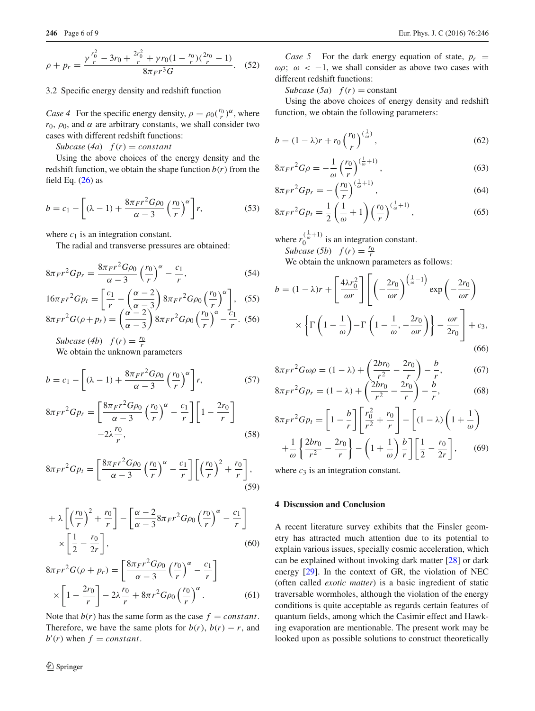$$
\rho + p_r = \frac{\gamma \frac{r_0^2}{r} - 3r_0 + \frac{2r_0^2}{r} + \gamma r_0 (1 - \frac{r_0}{r}) (\frac{2r_0}{r} - 1)}{8\pi Fr^3 G}.
$$
 (52)

#### 3.2 Specific energy density and redshift function

*Case 4* For the specific energy density,  $\rho = \rho_0(\frac{r_0}{r})^{\alpha}$ , where  $r_0$ ,  $\rho_0$ , and  $\alpha$  are arbitrary constants, we shall consider two cases with different redshift functions:

*Subcase* (4*a*)  $f(r) = constant$ 

Using the above choices of the energy density and the redshift function, we obtain the shape function  $b(r)$  from the field Eq.  $(26)$  as

$$
b = c_1 - \left[ (\lambda - 1) + \frac{8\pi Fr^2 G \rho_0}{\alpha - 3} \left( \frac{r_0}{r} \right)^{\alpha} \right] r, \tag{53}
$$

where  $c_1$  is an integration constant.

The radial and transverse pressures are obtained:

$$
8\pi Fr^2 G p_r = \frac{8\pi Fr^2 G \rho_0}{\alpha - 3} \left(\frac{r_0}{r}\right)^{\alpha} - \frac{c_1}{r},\tag{54}
$$

$$
16\pi_F r^2 G p_t = \left[\frac{c_1}{r} - \left(\frac{\alpha - 2}{\alpha - 3}\right) 8\pi_F r^2 G \rho_0 \left(\frac{r_0}{r}\right)^\alpha\right],
$$
 (55)  

$$
8\pi_F r^2 G (\rho + p_r) = \left(\frac{\alpha - 2}{\alpha - 3}\right) 8\pi_F r^2 G \rho_0 \left(\frac{r_0}{r}\right)^\alpha - \frac{c_1}{r}.
$$
 (56)

*Subcase* (4*b*)  $f(r) = \frac{r_0}{r}$ 

We obtain the unknown parameters

$$
b = c_1 - \left[ (\lambda - 1) + \frac{8\pi F r^2 G \rho_0}{\alpha - 3} \left( \frac{r_0}{r} \right)^{\alpha} \right] r, \tag{57}
$$

$$
8\pi Fr^2 G p_r = \left[\frac{8\pi Fr^2 G \rho_0}{\alpha - 3} \left(\frac{r_0}{r}\right)^{\alpha} - \frac{c_1}{r} \right] \left[1 - \frac{2r_0}{r}\right]
$$

$$
-2\lambda \frac{r_0}{r},\tag{58}
$$

$$
8\pi Fr^2 G p_t = \left[\frac{8\pi Fr^2 G \rho_0}{\alpha - 3} \left(\frac{r_0}{r}\right)^\alpha - \frac{c_1}{r}\right] \left[\left(\frac{r_0}{r}\right)^2 + \frac{r_0}{r}\right],\tag{59}
$$

$$
+ \lambda \left[ \left( \frac{r_0}{r} \right)^2 + \frac{r_0}{r} \right] - \left[ \frac{\alpha - 2}{\alpha - 3} 8\pi F r^2 G \rho_0 \left( \frac{r_0}{r} \right)^{\alpha} - \frac{c_1}{r} \right] \times \left[ \frac{1}{2} - \frac{r_0}{2r} \right],
$$
\n(60)

$$
8\pi Fr^2 G(\rho + p_r) = \left[\frac{8\pi Fr^2 G\rho_0}{\alpha - 3} \left(\frac{r_0}{r}\right)^{\alpha} - \frac{c_1}{r}\right]
$$

$$
\times \left[1 - \frac{2r_0}{r}\right] - 2\lambda \frac{r_0}{r} + 8\pi r^2 G\rho_0 \left(\frac{r_0}{r}\right)^{\alpha}.
$$
(61)

Note that  $b(r)$  has the same form as the case  $f = constant$ . Therefore, we have the same plots for  $b(r)$ ,  $b(r) - r$ , and  $b'(r)$  when  $f = constant$ .

*Case 5* For the dark energy equation of state,  $p_r =$  $ωρ$ ;  $ω < -1$ , we shall consider as above two cases with different redshift functions:

*Subcase* (*5a*)  $f(r) = constant$ 

Using the above choices of energy density and redshift function, we obtain the following parameters:

$$
b = (1 - \lambda)r + r_0 \left(\frac{r_0}{r}\right)^{\left(\frac{1}{\omega}\right)},
$$
\n(62)

$$
8\pi Fr^2 G \rho = -\frac{1}{\omega} \left(\frac{r_0}{r}\right)^{\left(\frac{1}{\omega}+1\right)},\tag{63}
$$

$$
8\pi Fr^2 G p_r = -\left(\frac{r_0}{r}\right)^{\left(\frac{1}{\omega}+1\right)},\tag{64}
$$

$$
8\pi Fr^2 G p_t = \frac{1}{2} \left( \frac{1}{\omega} + 1 \right) \left( \frac{r_0}{r} \right)^{\left( \frac{1}{\omega} + 1 \right)},\tag{65}
$$

where  $r_0^{(\frac{1}{\omega}+1)}$  is an integration constant.

*Subcase* (*5b*)  $f(r) = \frac{r_0}{r}$ 

We obtain the unknown parameters as follows:

$$
b = (1 - \lambda)r + \left[\frac{4\lambda r_0^2}{\omega r}\right] \left[\left(-\frac{2r_0}{\omega r}\right)^{\left(\frac{1}{\omega}-1\right)} \exp\left(-\frac{2r_0}{\omega r}\right) \times \left\{\Gamma\left(1 - \frac{1}{\omega}\right) - \Gamma\left(1 - \frac{1}{\omega}, -\frac{2r_0}{\omega r}\right)\right\} - \frac{\omega r}{2r_0}\right] + c_3,
$$
\n(66)

$$
8\pi Fr^2 G \omega \rho = (1 - \lambda) + \left(\frac{2br_0}{r^2} - \frac{2r_0}{r}\right) - \frac{b}{r},\tag{67}
$$

$$
8\pi r^2 G \omega = (1 - \lambda) + \left(\frac{2br_0}{r^2} - \frac{2r_0}{r}\right) - \frac{b}{b} \tag{68}
$$

$$
8\pi Fr^2 G p_r = (1 - \lambda) + \left(\frac{2br_0}{r^2} - \frac{2r_0}{r}\right) - \frac{b}{r},\tag{68}
$$

$$
8\pi Fr^2 G p_t = \left[1 - \frac{b}{r}\right] \left[\frac{r_0^2}{r^2} + \frac{r_0}{r}\right] - \left[(1 - \lambda)\left(1 + \frac{1}{\omega}\right) + \frac{1}{\omega}\left\{\frac{2br_0}{r^2} - \frac{2r_0}{r}\right\} - \left(1 + \frac{1}{\omega}\right)\frac{b}{r}\right] \left[\frac{1}{2} - \frac{r_0}{2r}\right],\qquad(69)
$$

where  $c_3$  is an integration constant.

# <span id="page-5-0"></span>**4 Discussion and Conclusion**

A recent literature survey exhibits that the Finsler geometry has attracted much attention due to its potential to explain various issues, specially cosmic acceleration, which can be explained without invoking dark matter [\[28](#page-8-21)] or dark energy [\[29\]](#page-8-22). In the context of GR, the violation of NEC (often called *exotic matter*) is a basic ingredient of static traversable wormholes, although the violation of the energy conditions is quite acceptable as regards certain features of quantum fields, among which the Casimir effect and Hawking evaporation are mentionable. The present work may be looked upon as possible solutions to construct theoretically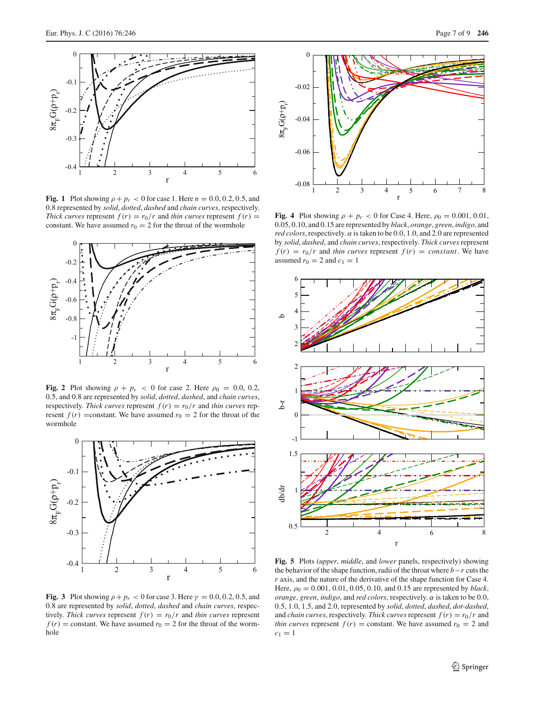

<span id="page-6-0"></span>**Fig. 1** Plot showing  $\rho + p_r < 0$  for case 1. Here  $n = 0.0, 0.2, 0.5$ , and 0.8 represented by *solid*, *dotted*, *dashed* and *chain curves*, respectively. *Thick curves* represent  $f(r) = r_0/r$  and *thin curves* represent  $f(r) =$ constant. We have assumed  $r_0 = 2$  for the throat of the wormhole



<span id="page-6-1"></span>Fig. 2 Plot showing  $\rho + p_r < 0$  for case 2. Here  $\rho_0 = 0.0, 0.2$ , 0.5, and 0.8 are represented by *solid*, *dotted*, *dashed*, and *chain curves*, respectively. *Thick curves* represent  $f(r) = r_0/r$  and *thin curves* represent  $f(r)$  =constant. We have assumed  $r_0 = 2$  for the throat of the wormhole



<span id="page-6-2"></span>**Fig. 3** Plot showing  $\rho + p_r < 0$  for case 3. Here  $\gamma = 0.0, 0.2, 0.5,$  and 0.8 are represented by *solid*, *dotted*, *dashed* and *chain curves*, respectively. *Thick curves* represent  $f(r) = r_0/r$  and *thin curves* represent  $f(r)$  = constant. We have assumed  $r_0 = 2$  for the throat of the wormhole



<span id="page-6-3"></span>**Fig. 4** Plot showing  $\rho + p_r < 0$  for Case 4. Here,  $\rho_0 = 0.001, 0.01$ , 0.05, 0.10, and 0.15 are represented by *black*, *orange*, *green*, *indigo*, and *red colors*, respectively.  $\alpha$  is taken to be 0.0, 1.0, and 2.0 are represented by *solid*, *dashed*, and *chain curves*, respectively. *Thick curves* represent  $f(r) = r_0/r$  and *thin curves* represent  $f(r) = constant$ . We have assumed  $r_0 = 2$  and  $c_1 = 1$ 



<span id="page-6-4"></span>**Fig. 5** Plots (*upper*, *middle*, and *lower* panels, respectively) showing the behavior of the shape function, radii of the throat where *b*−*r* cuts the *r* axis, and the nature of the derivative of the shape function for Case 4. Here, ρ<sup>0</sup> = 0.001, 0.01, 0.05, 0.10, and 0.15 are represented by *black*, *orange*, *green*, *indigo*, and *red colors*, respectively. α is taken to be 0.0, 0.5, 1.0, 1.5, and 2.0, represented by *solid*, *dotted*, *dashed*, *dot-dashed*, and *chain curves*, respectively. *Thick curves* represent  $f(r) = r_0/r$  and *thin curves* represent  $f(r) = constant$ . We have assumed  $r_0 = 2$  and  $c_1 = 1$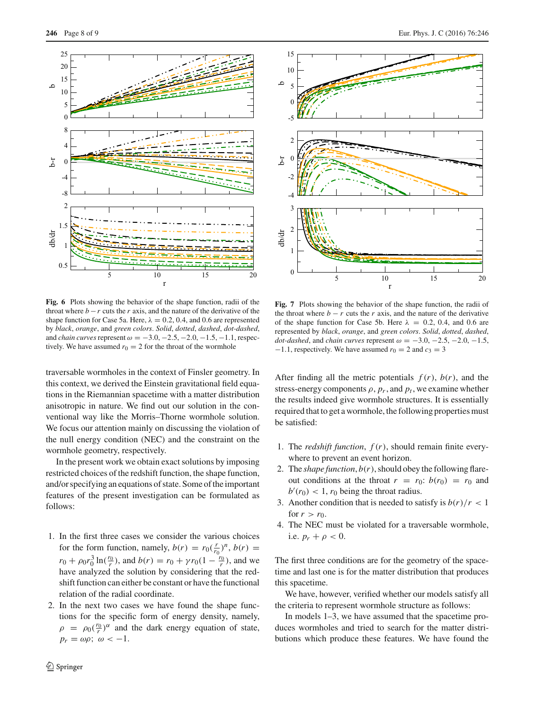

<span id="page-7-0"></span>**Fig. 6** Plots showing the behavior of the shape function, radii of the throat where  $b - r$  cuts the *r* axis, and the nature of the derivative of the shape function for Case 5a. Here,  $\lambda = 0.2, 0.4$ , and 0.6 are represented by *black*, *orange*, and *green colors*. *Solid*, *dotted*, *dashed*, *dot-dashed*, and *chain curves* represent  $\omega = -3.0, -2.5, -2.0, -1.5, -1.1$ , respectively. We have assumed  $r_0 = 2$  for the throat of the wormhole

traversable wormholes in the context of Finsler geometry. In this context, we derived the Einstein gravitational field equations in the Riemannian spacetime with a matter distribution anisotropic in nature. We find out our solution in the conventional way like the Morris–Thorne wormhole solution. We focus our attention mainly on discussing the violation of the null energy condition (NEC) and the constraint on the wormhole geometry, respectively.

In the present work we obtain exact solutions by imposing restricted choices of the redshift function, the shape function, and/or specifying an equations of state. Some of the important features of the present investigation can be formulated as follows:

- 1. In the first three cases we consider the various choices for the form function, namely,  $b(r) = r_0(\frac{r}{r_0})^n$ ,  $b(r) =$  $r_0 + \rho_0 r_0^3 \ln(\frac{r_0}{r})$ , and  $b(r) = r_0 + \gamma r_0 (1 - \frac{r_0}{r})$ , and we have analyzed the solution by considering that the redshift function can either be constant or have the functional relation of the radial coordinate.
- 2. In the next two cases we have found the shape functions for the specific form of energy density, namely,  $\rho = \rho_0(\frac{r_0}{r})^{\alpha}$  and the dark energy equation of state,  $p_r = \omega \rho$ ;  $\omega < -1$ .



<span id="page-7-1"></span>**Fig. 7** Plots showing the behavior of the shape function, the radii of the throat where  $b - r$  cuts the *r* axis, and the nature of the derivative of the shape function for Case 5b. Here  $\lambda = 0.2, 0.4$ , and 0.6 are represented by *black*, *orange*, and *green colors*. *Solid*, *dotted*, *dashed*, *dot-dashed*, and *chain curves* represent  $\omega = -3.0, -2.5, -2.0, -1.5$ ,  $-1.1$ , respectively. We have assumed  $r_0 = 2$  and  $c_3 = 3$ 

After finding all the metric potentials  $f(r)$ ,  $b(r)$ , and the stress-energy components  $\rho$ ,  $p_r$ , and  $p_t$ , we examine whether the results indeed give wormhole structures. It is essentially required that to get a wormhole, the following properties must be satisfied:

- 1. The *redshift function*, *f* (*r*), should remain finite everywhere to prevent an event horizon.
- 2. The *shape function*,  $b(r)$ , should obey the following flareout conditions at the throat  $r = r_0$ :  $b(r_0) = r_0$  and  $b'(r_0) < 1$ ,  $r_0$  being the throat radius.
- 3. Another condition that is needed to satisfy is  $b(r)/r < 1$ for  $r > r_0$ .
- 4. The NEC must be violated for a traversable wormhole, i.e.  $p_r + \rho < 0$ .

The first three conditions are for the geometry of the spacetime and last one is for the matter distribution that produces this spacetime.

We have, however, verified whether our models satisfy all the criteria to represent wormhole structure as follows:

In models 1–3, we have assumed that the spacetime produces wormholes and tried to search for the matter distributions which produce these features. We have found the